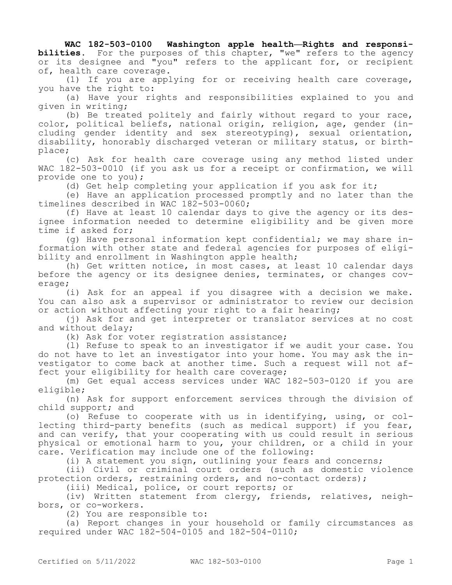**WAC 182-503-0100 Washington apple health—Rights and responsibilities.** For the purposes of this chapter, "we" refers to the agency or its designee and "you" refers to the applicant for, or recipient of, health care coverage.

(1) If you are applying for or receiving health care coverage, you have the right to:

(a) Have your rights and responsibilities explained to you and given in writing;

(b) Be treated politely and fairly without regard to your race, color, political beliefs, national origin, religion, age, gender (including gender identity and sex stereotyping), sexual orientation, disability, honorably discharged veteran or military status, or birthplace;

(c) Ask for health care coverage using any method listed under WAC 182-503-0010 (if you ask us for a receipt or confirmation, we will provide one to you);

(d) Get help completing your application if you ask for it;

(e) Have an application processed promptly and no later than the timelines described in WAC 182-503-0060;

(f) Have at least 10 calendar days to give the agency or its designee information needed to determine eligibility and be given more time if asked for;

(g) Have personal information kept confidential; we may share information with other state and federal agencies for purposes of eligibility and enrollment in Washington apple health;

(h) Get written notice, in most cases, at least 10 calendar days before the agency or its designee denies, terminates, or changes coverage;

(i) Ask for an appeal if you disagree with a decision we make. You can also ask a supervisor or administrator to review our decision or action without affecting your right to a fair hearing;

(j) Ask for and get interpreter or translator services at no cost and without delay;

(k) Ask for voter registration assistance;

(l) Refuse to speak to an investigator if we audit your case. You do not have to let an investigator into your home. You may ask the investigator to come back at another time. Such a request will not affect your eligibility for health care coverage;

(m) Get equal access services under WAC 182-503-0120 if you are eligible;

(n) Ask for support enforcement services through the division of child support; and

(o) Refuse to cooperate with us in identifying, using, or collecting third-party benefits (such as medical support) if you fear, and can verify, that your cooperating with us could result in serious physical or emotional harm to you, your children, or a child in your care. Verification may include one of the following:

(i) A statement you sign, outlining your fears and concerns;

(ii) Civil or criminal court orders (such as domestic violence protection orders, restraining orders, and no-contact orders);

(iii) Medical, police, or court reports; or

(iv) Written statement from clergy, friends, relatives, neighbors, or co-workers.

(2) You are responsible to:

(a) Report changes in your household or family circumstances as required under WAC 182-504-0105 and 182-504-0110;